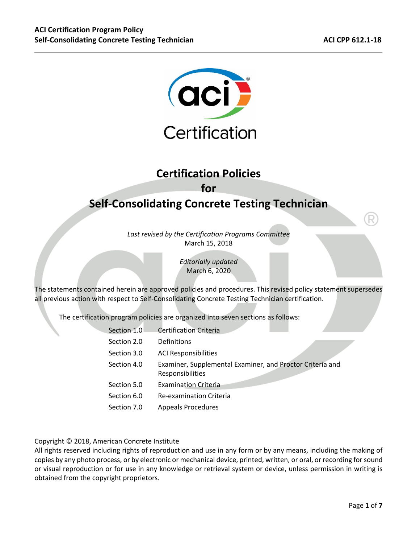

# **Certification Policies for**

# **Self‐Consolidating Concrete Testing Technician**

*Last revised by the Certification Programs Committee*  March 15, 2018

> *Editorially updated*  March 6, 2020

The statements contained herein are approved policies and procedures. This revised policy statement supersedes all previous action with respect to Self‐Consolidating Concrete Testing Technician certification.

The certification program policies are organized into seven sections as follows:

| Section 1.0 | <b>Certification Criteria</b>                                                 |
|-------------|-------------------------------------------------------------------------------|
| Section 2.0 | Definitions                                                                   |
| Section 3.0 | <b>ACI Responsibilities</b>                                                   |
| Section 4.0 | Examiner, Supplemental Examiner, and Proctor Criteria and<br>Responsibilities |
| Section 5.0 | <b>Examination Criteria</b>                                                   |
| Section 6.0 | Re-examination Criteria                                                       |
| Section 7.0 | <b>Appeals Procedures</b>                                                     |
|             |                                                                               |

Copyright © 2018, American Concrete Institute

All rights reserved including rights of reproduction and use in any form or by any means, including the making of copies by any photo process, or by electronic or mechanical device, printed, written, or oral, or recording for sound or visual reproduction or for use in any knowledge or retrieval system or device, unless permission in writing is obtained from the copyright proprietors.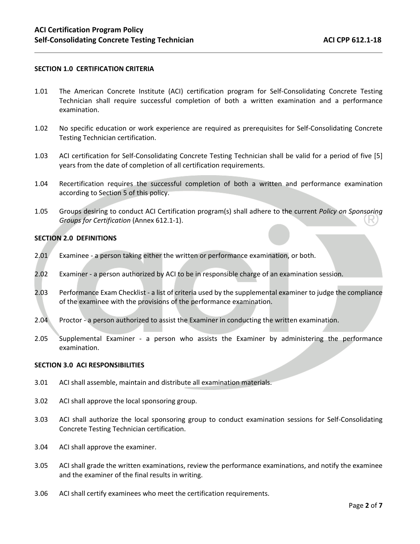#### **SECTION 1.0 CERTIFICATION CRITERIA**

- 1.01 The American Concrete Institute (ACI) certification program for Self-Consolidating Concrete Testing Technician shall require successful completion of both a written examination and a performance examination.
- 1.02 No specific education or work experience are required as prerequisites for Self‐Consolidating Concrete Testing Technician certification.
- 1.03 ACI certification for Self-Consolidating Concrete Testing Technician shall be valid for a period of five [5] years from the date of completion of all certification requirements.
- 1.04 Recertification requires the successful completion of both a written and performance examination according to Section 5 of this policy.
- 1.05 Groups desiring to conduct ACI Certification program(s) shall adhere to the current *Policy on Sponsoring Groups for Certification* (Annex 612.1‐1).

### **SECTION 2.0 DEFINITIONS**

- 2.01 Examinee a person taking either the written or performance examination, or both.
- 2.02 Examiner ‐ a person authorized by ACI to be in responsible charge of an examination session.
- 2.03 Performance Exam Checklist a list of criteria used by the supplemental examiner to judge the compliance of the examinee with the provisions of the performance examination.
- 2.04 Proctor a person authorized to assist the Examiner in conducting the written examination.
- 2.05 Supplemental Examiner ‐ a person who assists the Examiner by administering the performance examination.

#### **SECTION 3.0 ACI RESPONSIBILITIES**

- 3.01 ACI shall assemble, maintain and distribute all examination materials.
- 3.02 ACI shall approve the local sponsoring group.
- 3.03 ACI shall authorize the local sponsoring group to conduct examination sessions for Self-Consolidating Concrete Testing Technician certification.
- 3.04 ACI shall approve the examiner.
- 3.05 ACI shall grade the written examinations, review the performance examinations, and notify the examinee and the examiner of the final results in writing.
- 3.06 ACI shall certify examinees who meet the certification requirements.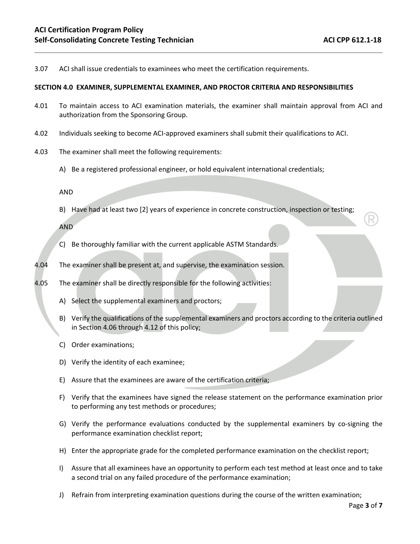3.07 ACI shall issue credentials to examinees who meet the certification requirements.

#### **SECTION 4.0 EXAMINER, SUPPLEMENTAL EXAMINER, AND PROCTOR CRITERIA AND RESPONSIBILITIES**

- 4.01 To maintain access to ACI examination materials, the examiner shall maintain approval from ACI and authorization from the Sponsoring Group.
- 4.02 Individuals seeking to become ACI‐approved examiners shall submit their qualifications to ACI.
- 4.03 The examiner shall meet the following requirements:
	- A) Be a registered professional engineer, or hold equivalent international credentials;

AND

B) Have had at least two [2] years of experience in concrete construction, inspection or testing;

AND

- C) Be thoroughly familiar with the current applicable ASTM Standards.
- 4.04 The examiner shall be present at, and supervise, the examination session.
- 4.05 The examiner shall be directly responsible for the following activities:
	- A) Select the supplemental examiners and proctors;
	- B) Verify the qualifications of the supplemental examiners and proctors according to the criteria outlined in Section 4.06 through 4.12 of this policy;
	- C) Order examinations;
	- D) Verify the identity of each examinee;
	- E) Assure that the examinees are aware of the certification criteria;
	- F) Verify that the examinees have signed the release statement on the performance examination prior to performing any test methods or procedures;
	- G) Verify the performance evaluations conducted by the supplemental examiners by co-signing the performance examination checklist report;
	- H) Enter the appropriate grade for the completed performance examination on the checklist report;
	- I) Assure that all examinees have an opportunity to perform each test method at least once and to take a second trial on any failed procedure of the performance examination;
	- J) Refrain from interpreting examination questions during the course of the written examination;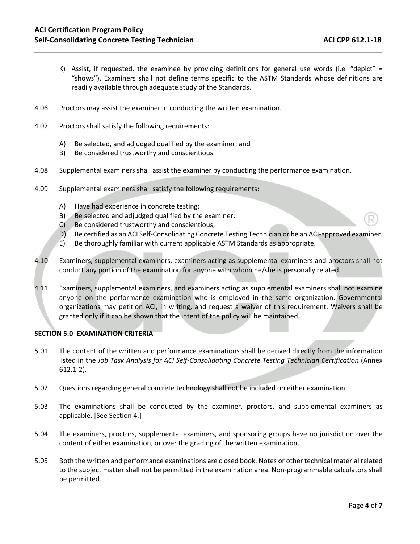- K) Assist, if requested, the examinee by providing definitions for general use words (i.e. "depict" = "shows"). Examiners shall not define terms specific to the ASTM Standards whose definitions are readily available through adequate study of the Standards.
- 4.06 Proctors may assist the examiner in conducting the written examination.
- 4.07 Proctors shall satisfy the following requirements:
	- A) Be selected, and adjudged qualified by the examiner; and
	- B) Be considered trustworthy and conscientious.
- 4.08 Supplemental examiners shall assist the examiner by conducting the performance examination.
- 4.09 Supplemental examiners shall satisfy the following requirements:
	- A) Have had experience in concrete testing;
	- B) Be selected and adjudged qualified by the examiner;
	- C) Be considered trustworthy and conscientious;
	- D) Be certified as an ACI Self-Consolidating Concrete Testing Technician or be an ACI-approved examiner.
	- E) Be thoroughly familiar with current applicable ASTM Standards as appropriate.
- 4.10 Examiners, supplemental examiners, examiners acting as supplemental examiners and proctors shall not conduct any portion of the examination for anyone with whom he/she is personally related.
- 4.11 Examiners, supplemental examiners, and examiners acting as supplemental examiners shall not examine anyone on the performance examination who is employed in the same organization. Governmental organizations may petition ACI, in writing, and request a waiver of this requirement. Waivers shall be granted only if it can be shown that the intent of the policy will be maintained.

### **SECTION 5.0 EXAMINATION CRITERIA**

- 5.01 The content of the written and performance examinations shall be derived directly from the information listed in the *Job Task Analysis for ACI Self‐Consolidating Concrete Testing Technician Certification* (Annex 612.1‐2).
- 5.02 Questions regarding general concrete technology shall not be included on either examination.
- 5.03 The examinations shall be conducted by the examiner, proctors, and supplemental examiners as applicable. [See Section 4.]
- 5.04 The examiners, proctors, supplemental examiners, and sponsoring groups have no jurisdiction over the content of either examination, or over the grading of the written examination.
- 5.05 Both the written and performance examinations are closed book. Notes or other technical material related to the subject matter shall not be permitted in the examination area. Non-programmable calculators shall be permitted.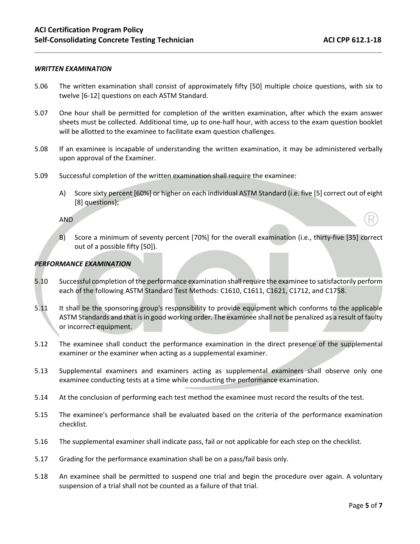#### *WRITTEN EXAMINATION*

- 5.06 The written examination shall consist of approximately fifty [50] multiple choice questions, with six to twelve [6‐12] questions on each ASTM Standard.
- 5.07 One hour shall be permitted for completion of the written examination, after which the exam answer sheets must be collected. Additional time, up to one‐half hour, with access to the exam question booklet will be allotted to the examinee to facilitate exam question challenges.
- 5.08 If an examinee is incapable of understanding the written examination, it may be administered verbally upon approval of the Examiner.
- 5.09 Successful completion of the written examination shall require the examinee:
	- A) Score sixty percent [60%] or higher on each individual ASTM Standard (i.e. five [5] correct out of eight [8] questions);

AND

B) Score a minimum of seventy percent [70%] for the overall examination (i.e., thirty‐five [35] correct out of a possible fifty [50]).

#### *PERFORMANCE EXAMINATION*

- 5.10 Successful completion of the performance examination shall require the examinee to satisfactorily perform each of the following ASTM Standard Test Methods: C1610, C1611, C1621, C1712, and C1758.
- 5.11 It shall be the sponsoring group's responsibility to provide equipment which conforms to the applicable ASTM Standards and that is in good working order. The examinee shall not be penalized as a result of faulty or incorrect equipment.
- 5.12 The examinee shall conduct the performance examination in the direct presence of the supplemental examiner or the examiner when acting as a supplemental examiner.
- 5.13 Supplemental examiners and examiners acting as supplemental examiners shall observe only one examinee conducting tests at a time while conducting the performance examination.
- 5.14 At the conclusion of performing each test method the examinee must record the results of the test.
- 5.15 The examinee's performance shall be evaluated based on the criteria of the performance examination checklist.
- 5.16 The supplemental examiner shall indicate pass, fail or not applicable for each step on the checklist.
- 5.17 Grading for the performance examination shall be on a pass/fail basis only.
- 5.18 An examinee shall be permitted to suspend one trial and begin the procedure over again. A voluntary suspension of a trial shall not be counted as a failure of that trial.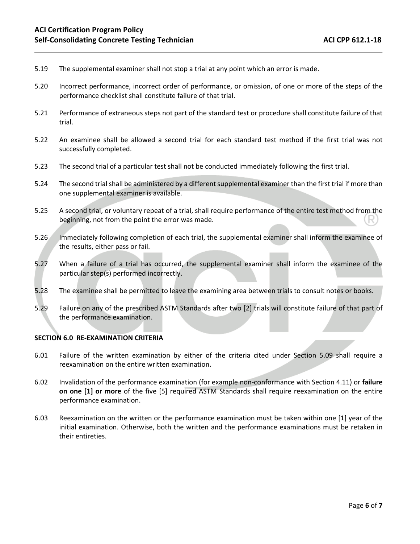- 5.19 The supplemental examiner shall not stop a trial at any point which an error is made.
- 5.20 Incorrect performance, incorrect order of performance, or omission, of one or more of the steps of the performance checklist shall constitute failure of that trial.
- 5.21 Performance of extraneous steps not part of the standard test or procedure shall constitute failure of that trial.
- 5.22 An examinee shall be allowed a second trial for each standard test method if the first trial was not successfully completed.
- 5.23 The second trial of a particular test shall not be conducted immediately following the first trial.
- 5.24 The second trial shall be administered by a different supplemental examiner than the first trial if more than one supplemental examiner is available.
- 5.25 A second trial, or voluntary repeat of a trial, shall require performance of the entire test method from the beginning, not from the point the error was made.
- 5.26 Immediately following completion of each trial, the supplemental examiner shall inform the examinee of the results, either pass or fail.
- 5.27 When a failure of a trial has occurred, the supplemental examiner shall inform the examinee of the particular step(s) performed incorrectly.
- 5.28 The examinee shall be permitted to leave the examining area between trials to consult notes or books.
- 5.29 Failure on any of the prescribed ASTM Standards after two [2] trials will constitute failure of that part of the performance examination.

#### **SECTION 6.0 RE‐EXAMINATION CRITERIA**

- 6.01 Failure of the written examination by either of the criteria cited under Section 5.09 shall require a reexamination on the entire written examination.
- 6.02 Invalidation of the performance examination (for example non‐conformance with Section 4.11) or **failure on one [1] or more** of the five [5] required ASTM Standards shall require reexamination on the entire performance examination.
- 6.03 Reexamination on the written or the performance examination must be taken within one [1] year of the initial examination. Otherwise, both the written and the performance examinations must be retaken in their entireties.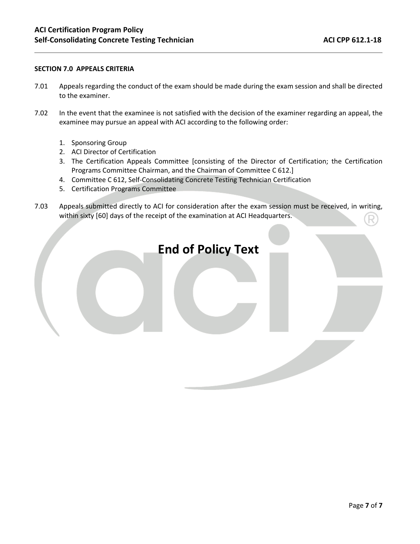### **SECTION 7.0 APPEALS CRITERIA**

- 7.01 Appeals regarding the conduct of the exam should be made during the exam session and shall be directed to the examiner.
- 7.02 In the event that the examinee is not satisfied with the decision of the examiner regarding an appeal, the examinee may pursue an appeal with ACI according to the following order:
	- 1. Sponsoring Group
	- 2. ACI Director of Certification
	- 3. The Certification Appeals Committee [consisting of the Director of Certification; the Certification Programs Committee Chairman, and the Chairman of Committee C 612.]
	- 4. Committee C 612, Self‐Consolidating Concrete Testing Technician Certification
	- 5. Certification Programs Committee
- 7.03 Appeals submitted directly to ACI for consideration after the exam session must be received, in writing, within sixty [60] days of the receipt of the examination at ACI Headquarters.

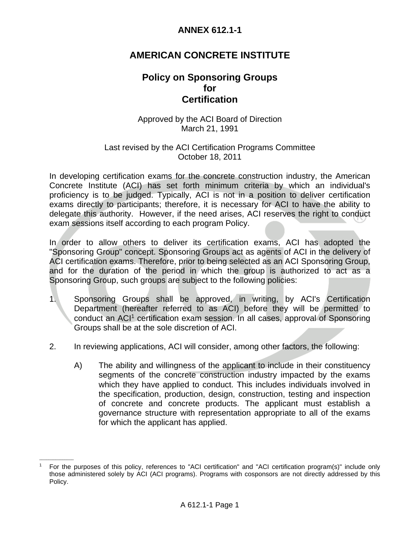## **AMERICAN CONCRETE INSTITUTE**

## **Policy on Sponsoring Groups**   *for for*  **Certification**

### Approved by the ACI Board of Direction March 21, 1991

### Last revised by the ACI Certification Programs Committee October 18, 2011

In developing certification exams for the concrete construction industry, the American Concrete Institute (ACI) has set forth minimum criteria by which an individual's proficiency is to be judged. Typically, ACI is not in a position to deliver certification exams directly to participants; therefore, it is necessary for ACI to have the ability to delegate this authority. However, if the need arises, ACI reserves the right to conduct exam sessions itself according to each program Policy.

In order to allow others to deliver its certification exams, ACI has adopted the "Sponsoring Group" concept. Sponsoring Groups act as agents of ACI in the delivery of ACI certification exams. Therefore, prior to being selected as an ACI Sponsoring Group, and for the duration of the period in which the group is authorized to act as a Sponsoring Group, such groups are subject to the following policies:

- 1. Sponsoring Groups shall be approved, in writing, by ACI's Certification Department (hereafter referred to as ACI) before they will be permitted to conduct an ACI1 certification exam session. In all cases, approval of Sponsoring Groups shall be at the sole discretion of ACI.
- 2. In reviewing applications, ACI will consider, among other factors, the following:
	- A) The ability and willingness of the applicant to include in their constituency segments of the concrete construction industry impacted by the exams which they have applied to conduct. This includes individuals involved in the specification, production, design, construction, testing and inspection of concrete and concrete products. The applicant must establish a governance structure with representation appropriate to all of the exams for which the applicant has applied.

 $\mathcal{L}=\mathcal{L}$ 

<sup>1</sup> For the purposes of this policy, references to "ACI certification" and "ACI certification program(s)" include only those administered solely by ACI (ACI programs). Programs with cosponsors are not directly addressed by this Policy.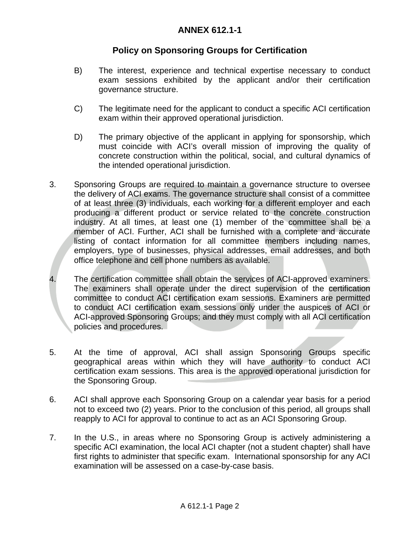## **Policy on Sponsoring Groups for Certification**

- B) The interest, experience and technical expertise necessary to conduct exam sessions exhibited by the applicant and/or their certification governance structure.
- C) The legitimate need for the applicant to conduct a specific ACI certification exam within their approved operational jurisdiction.
- D) The primary objective of the applicant in applying for sponsorship, which must coincide with ACI's overall mission of improving the quality of concrete construction within the political, social, and cultural dynamics of the intended operational jurisdiction.
- 3. Sponsoring Groups are required to maintain a governance structure to oversee the delivery of ACI exams. The governance structure shall consist of a committee of at least three (3) individuals, each working for a different employer and each producing a different product or service related to the concrete construction industry. At all times, at least one (1) member of the committee shall be a member of ACI. Further, ACI shall be furnished with a complete and accurate listing of contact information for all committee members including names, employers, type of businesses, physical addresses, email addresses, and both office telephone and cell phone numbers as available.
- 4. The certification committee shall obtain the services of ACI-approved examiners. The examiners shall operate under the direct supervision of the certification committee to conduct ACI certification exam sessions. Examiners are permitted to conduct ACI certification exam sessions only under the auspices of ACI or ACI-approved Sponsoring Groups; and they must comply with all ACI certification policies and procedures.
- 5. At the time of approval, ACI shall assign Sponsoring Groups specific geographical areas within which they will have authority to conduct ACI certification exam sessions. This area is the approved operational jurisdiction for the Sponsoring Group.
- 6. ACI shall approve each Sponsoring Group on a calendar year basis for a period not to exceed two (2) years. Prior to the conclusion of this period, all groups shall reapply to ACI for approval to continue to act as an ACI Sponsoring Group.
- 7. In the U.S., in areas where no Sponsoring Group is actively administering a specific ACI examination, the local ACI chapter (not a student chapter) shall have first rights to administer that specific exam. International sponsorship for any ACI examination will be assessed on a case-by-case basis.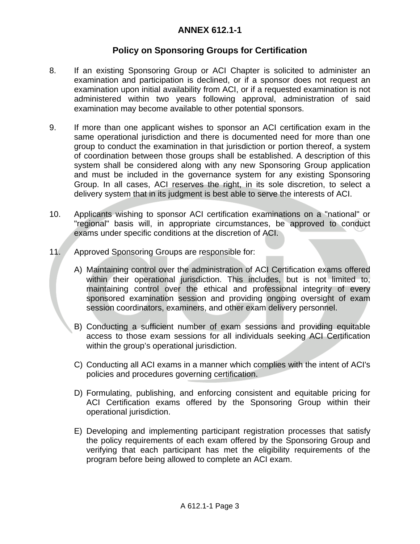## **Policy on Sponsoring Groups for Certification**

- 8. If an existing Sponsoring Group or ACI Chapter is solicited to administer an examination and participation is declined, or if a sponsor does not request an examination upon initial availability from ACI, or if a requested examination is not administered within two years following approval, administration of said examination may become available to other potential sponsors.
- 9. If more than one applicant wishes to sponsor an ACI certification exam in the same operational jurisdiction and there is documented need for more than one group to conduct the examination in that jurisdiction or portion thereof, a system of coordination between those groups shall be established. A description of this system shall be considered along with any new Sponsoring Group application and must be included in the governance system for any existing Sponsoring Group. In all cases, ACI reserves the right, in its sole discretion, to select a delivery system that in its judgment is best able to serve the interests of ACI.
- 10. Applicants wishing to sponsor ACI certification examinations on a "national" or "regional" basis will, in appropriate circumstances, be approved to conduct exams under specific conditions at the discretion of ACI.
- 11. Approved Sponsoring Groups are responsible for:
	- A) Maintaining control over the administration of ACI Certification exams offered within their operational jurisdiction. This includes, but is not limited to, maintaining control over the ethical and professional integrity of every sponsored examination session and providing ongoing oversight of exam session coordinators, examiners, and other exam delivery personnel.
	- B) Conducting a sufficient number of exam sessions and providing equitable access to those exam sessions for all individuals seeking ACI Certification within the group's operational jurisdiction.
	- C) Conducting all ACI exams in a manner which complies with the intent of ACI's policies and procedures governing certification.
	- D) Formulating, publishing, and enforcing consistent and equitable pricing for ACI Certification exams offered by the Sponsoring Group within their operational jurisdiction.
	- E) Developing and implementing participant registration processes that satisfy the policy requirements of each exam offered by the Sponsoring Group and verifying that each participant has met the eligibility requirements of the program before being allowed to complete an ACI exam.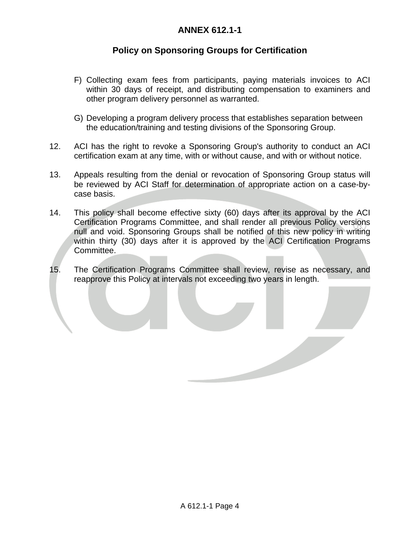## **Policy on Sponsoring Groups for Certification**

- F) Collecting exam fees from participants, paying materials invoices to ACI within 30 days of receipt, and distributing compensation to examiners and other program delivery personnel as warranted.
- G) Developing a program delivery process that establishes separation between the education/training and testing divisions of the Sponsoring Group.
- 12. ACI has the right to revoke a Sponsoring Group's authority to conduct an ACI certification exam at any time, with or without cause, and with or without notice.
- 13. Appeals resulting from the denial or revocation of Sponsoring Group status will be reviewed by ACI Staff for determination of appropriate action on a case-bycase basis.
- 14. This policy shall become effective sixty (60) days after its approval by the ACI Certification Programs Committee, and shall render all previous Policy versions null and void. Sponsoring Groups shall be notified of this new policy in writing within thirty (30) days after it is approved by the ACI Certification Programs Committee.
- 15. The Certification Programs Committee shall review, revise as necessary, and reapprove this Policy at intervals not exceeding two years in length.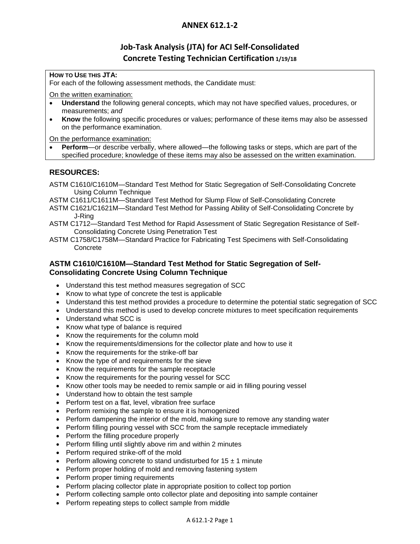## **Job-Task Analysis (JTA) for ACI Self-Consolidated Concrete Testing Technician Certification 1/19/18**

### **HOW TO USE THIS JTA:**

For each of the following assessment methods, the Candidate must:

On the written examination:

- **Understand** the following general concepts, which may not have specified values, procedures, or measurements; *and*
- **Know** the following specific procedures or values; performance of these items may also be assessed on the performance examination.

On the performance examination:

 **Perform**—or describe verbally, where allowed—the following tasks or steps, which are part of the specified procedure; knowledge of these items may also be assessed on the written examination.

### **RESOURCES:**

- ASTM C1610/C1610M—Standard Test Method for Static Segregation of Self-Consolidating Concrete Using Column Technique
- ASTM C1611/C1611M—Standard Test Method for Slump Flow of Self-Consolidating Concrete
- ASTM C1621/C1621M—Standard Test Method for Passing Ability of Self-Consolidating Concrete by J-Ring
- ASTM C1712—Standard Test Method for Rapid Assessment of Static Segregation Resistance of Self-Consolidating Concrete Using Penetration Test
- ASTM C1758/C1758M—Standard Practice for Fabricating Test Specimens with Self-Consolidating Concrete

### **ASTM C1610/C1610M—Standard Test Method for Static Segregation of Self-Consolidating Concrete Using Column Technique**

- Understand this test method measures segregation of SCC
- Know to what type of concrete the test is applicable
- Understand this test method provides a procedure to determine the potential static segregation of SCC
- Understand this method is used to develop concrete mixtures to meet specification requirements
- Understand what SCC is
- Know what type of balance is required
- Know the requirements for the column mold
- Know the requirements/dimensions for the collector plate and how to use it
- Know the requirements for the strike-off bar
- Know the type of and requirements for the sieve
- Know the requirements for the sample receptacle
- Know the requirements for the pouring vessel for SCC
- Know other tools may be needed to remix sample or aid in filling pouring vessel
- Understand how to obtain the test sample
- Perform test on a flat, level, vibration free surface
- Perform remixing the sample to ensure it is homogenized
- Perform dampening the interior of the mold, making sure to remove any standing water
- Perform filling pouring vessel with SCC from the sample receptacle immediately
- Perform the filling procedure properly
- Perform filling until slightly above rim and within 2 minutes
- Perform required strike-off of the mold
- Perform allowing concrete to stand undisturbed for  $15 \pm 1$  minute
- Perform proper holding of mold and removing fastening system
- Perform proper timing requirements
- Perform placing collector plate in appropriate position to collect top portion
- Perform collecting sample onto collector plate and depositing into sample container
- Perform repeating steps to collect sample from middle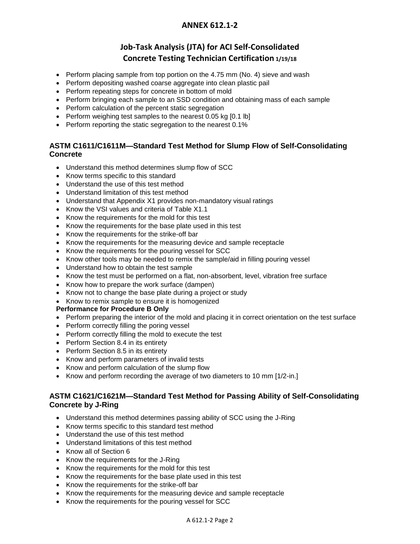### **Job-Task Analysis (JTA) for ACI Self-Consolidated Concrete Testing Technician Certification 1/19/18**

- Perform placing sample from top portion on the  $4.75$  mm (No. 4) sieve and wash
- Perform depositing washed coarse aggregate into clean plastic pail
- Perform repeating steps for concrete in bottom of mold
- Perform bringing each sample to an SSD condition and obtaining mass of each sample
- Perform calculation of the percent static segregation
- Perform weighing test samples to the nearest 0.05 kg [0.1 lb]
- Perform reporting the static segregation to the nearest 0.1%

### **ASTM C1611/C1611M—Standard Test Method for Slump Flow of Self-Consolidating Concrete**

- Understand this method determines slump flow of SCC
- Know terms specific to this standard
- Understand the use of this test method
- Understand limitation of this test method
- Understand that Appendix X1 provides non-mandatory visual ratings
- Know the VSI values and criteria of Table X1.1
- Know the requirements for the mold for this test
- Know the requirements for the base plate used in this test
- Know the requirements for the strike-off bar
- Know the requirements for the measuring device and sample receptacle
- Know the requirements for the pouring vessel for SCC
- Know other tools may be needed to remix the sample/aid in filling pouring vessel
- Understand how to obtain the test sample
- Know the test must be performed on a flat, non-absorbent, level, vibration free surface
- Know how to prepare the work surface (dampen)
- Know not to change the base plate during a project or study
- Know to remix sample to ensure it is homogenized

#### **Performance for Procedure B Only**

- Perform preparing the interior of the mold and placing it in correct orientation on the test surface
- Perform correctly filling the poring vessel
- Perform correctly filling the mold to execute the test
- Perform Section 8.4 in its entirety
- Perform Section 8.5 in its entirety
- Know and perform parameters of invalid tests
- Know and perform calculation of the slump flow
- Know and perform recording the average of two diameters to 10 mm [1/2-in.]

### **ASTM C1621/C1621M—Standard Test Method for Passing Ability of Self-Consolidating Concrete by J-Ring**

- Understand this method determines passing ability of SCC using the J-Ring
- Know terms specific to this standard test method
- Understand the use of this test method
- Understand limitations of this test method
- Know all of Section 6
- Know the requirements for the J-Ring
- Know the requirements for the mold for this test
- Know the requirements for the base plate used in this test
- Know the requirements for the strike-off bar
- Know the requirements for the measuring device and sample receptacle
- Know the requirements for the pouring vessel for SCC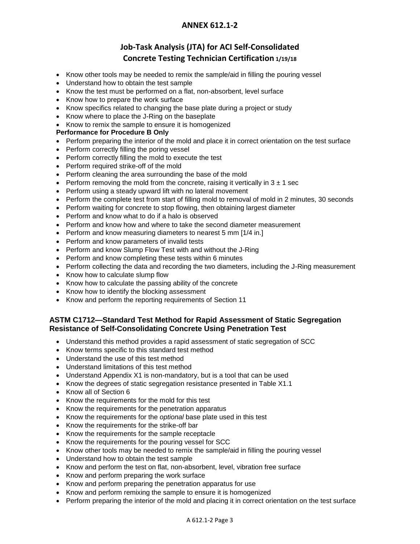## **Job-Task Analysis (JTA) for ACI Self-Consolidated Concrete Testing Technician Certification 1/19/18**

- Know other tools may be needed to remix the sample/aid in filling the pouring vessel
- Understand how to obtain the test sample
- Know the test must be performed on a flat, non-absorbent, level surface
- Know how to prepare the work surface
- Know specifics related to changing the base plate during a project or study
- Know where to place the J-Ring on the baseplate
- Know to remix the sample to ensure it is homogenized

### **Performance for Procedure B Only**

- Perform preparing the interior of the mold and place it in correct orientation on the test surface
- Perform correctly filling the poring vessel
- Perform correctly filling the mold to execute the test
- Perform required strike-off of the mold
- Perform cleaning the area surrounding the base of the mold
- Perform removing the mold from the concrete, raising it vertically in  $3 \pm 1$  sec
- Perform using a steady upward lift with no lateral movement
- Perform the complete test from start of filling mold to removal of mold in 2 minutes, 30 seconds
- Perform waiting for concrete to stop flowing, then obtaining largest diameter
- Perform and know what to do if a halo is observed
- Perform and know how and where to take the second diameter measurement
- Perform and know measuring diameters to nearest 5 mm [1/4 in.]
- Perform and know parameters of invalid tests
- Perform and know Slump Flow Test with and without the J-Ring
- Perform and know completing these tests within 6 minutes
- Perform collecting the data and recording the two diameters, including the J-Ring measurement
- Know how to calculate slump flow
- Know how to calculate the passing ability of the concrete
- Know how to identify the blocking assessment
- Know and perform the reporting requirements of Section 11

### **ASTM C1712—Standard Test Method for Rapid Assessment of Static Segregation Resistance of Self-Consolidating Concrete Using Penetration Test**

- Understand this method provides a rapid assessment of static segregation of SCC
- Know terms specific to this standard test method
- Understand the use of this test method
- Understand limitations of this test method
- Understand Appendix X1 is non-mandatory, but is a tool that can be used
- Know the degrees of static segregation resistance presented in Table X1.1
- Know all of Section 6
- Know the requirements for the mold for this test
- Know the requirements for the penetration apparatus
- Know the requirements for the *optional* base plate used in this test
- Know the requirements for the strike-off bar
- Know the requirements for the sample receptacle
- Know the requirements for the pouring vessel for SCC
- Know other tools may be needed to remix the sample/aid in filling the pouring vessel
- Understand how to obtain the test sample
- Know and perform the test on flat, non-absorbent, level, vibration free surface
- Know and perform preparing the work surface
- Know and perform preparing the penetration apparatus for use
- Know and perform remixing the sample to ensure it is homogenized
- Perform preparing the interior of the mold and placing it in correct orientation on the test surface